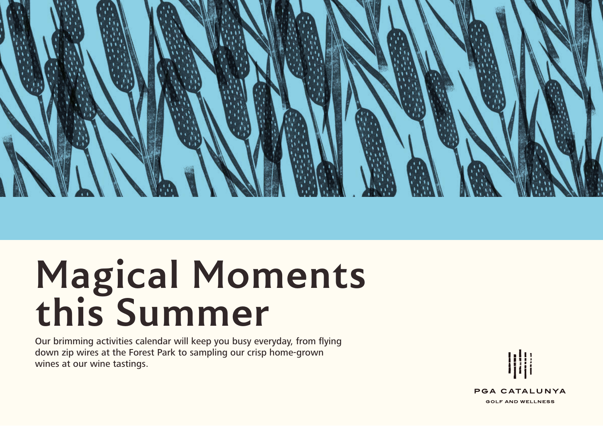

# **Magical Moments this Summer**

Our brimming activities calendar will keep you busy everyday, from flying down zip wires at the Forest Park to sampling our crisp home-grown wines at our wine tastings.



**PGA CATALUNYA GOLF AND WELLNESS**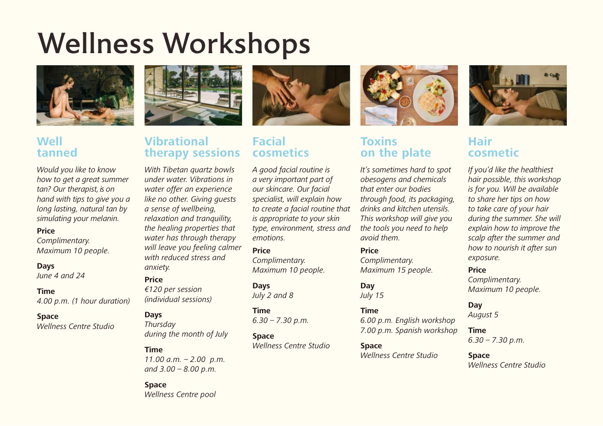# Wellness Workshops



## **Well tanned**

*Would you like to know how to get a great summer tan? Our therapist, is on hand with tips to give you a long lasting, natural tan by simulating your melanin.* 

**Price**

*Complimentary. Maximum 10 people.*

#### **Days**

*June 4 and 24*

#### **Time**

*4.00 p.m. (1 hour duration)*

#### **Space**

*Wellness Centre Studio*



# **Vibrational therapy sessions**

*With Tibetan quartz bowls under water. Vibrations in water offer an experience like no other. Giving guests a sense of wellbeing, relaxation and tranquility, the healing properties that water has through therapy will leave you feeling calmer with reduced stress and anxiety.*

### **Price**

*€120 per session (individual sessions)*

#### **Days**

*Thursday during the month of July*

### **Time**

*11.00 a.m. – 2.00 p.m. and 3.00 – 8.00 p.m.*

#### **Space**  *Wellness Centre pool*



# **Facial cosmetics**

*A good facial routine is a very important part of our skincare. Our facial specialist, will explain how to create a facial routine that is appropriate to your skin type, environment, stress and emotions.* 

## **Price** *Complimentary.*

*Maximum 10 people.* **Days**

*July 2 and 8*

#### **Time**

*6.30 – 7.30 p.m.*

#### **Space** *Wellness Centre Studio*



# **Toxins on the plate**

*It's sometimes hard to spot obesogens and chemicals that enter our bodies through food, its packaging, drinks and kitchen utensils. This workshop will give you the tools you need to help avoid them.*

#### **Price**

*Complimentary. Maximum 15 people.*

### **Day**

*July 15*

#### **Time**

*6.00 p.m. English workshop 7.00 p.m. Spanish workshop*

### **Space**

*Wellness Centre Studio*



# **Hair cosmetic**

*If you'd like the healthiest hair possible, this workshop is for you. Will be available to share her tips on how to take care of your hair during the summer. She will explain how to improve the scalp after the summer and how to nourish it after sun exposure.* 

### **Price**

*Complimentary. Maximum 10 people.*

#### **Day**

*August 5*

### **Time**

*6.30 – 7.30 p.m.*

### **Space**

*Wellness Centre Studio*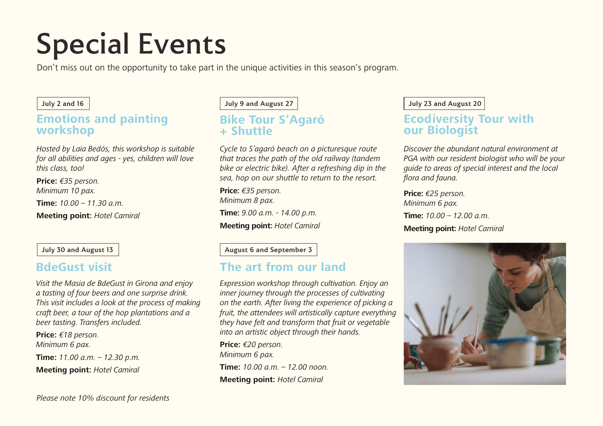# Special Events

Don't miss out on the opportunity to take part in the unique activities in this season's program.

## **Emotions and painting workshop**

*Hosted by Laia Bedós, this workshop is suitable for all abilities and ages - yes, children will love this class, too!* 

**Price:** *€35 person. Minimum 10 pax.*

**Time:**  $10.00 - 11.30$  a.m.

**Meeting point:** *Hotel Camiral*

*Visit the Masia de BdeGust in Girona and enjoy a tasting of four beers and one surprise drink. This visit includes a look at the process of making craft beer, a tour of the hop plantations and a beer tasting. Transfers included.* 

**Price:** *€18 person. Minimum 6 pax.*

**Time:** *11.00 a.m. – 12.30 p.m.* **Meeting point:** *Hotel Camiral*

**July 2 and 16 July 9 and August 27**

## **Bike Tour S'Agaró + Shuttle**

*Cycle to S'agaró beach on a picturesque route that traces the path of the old railway (tandem bike or electric bike). After a refreshing dip in the sea, hop on our shuttle to return to the resort.* 

**Price:** *€35 person. Minimum 8 pax.* **Time:** *9.00 a.m. - 14.00 p.m.* **Meeting point:** *Hotel Camiral*

**July 30 and August 13 August 13 August 6 and September 3** 

# **BdeGust visit The art from our land**

*Expression workshop through cultivation. Enjoy an inner journey through the processes of cultivating on the earth. After living the experience of picking a fruit, the attendees will artistically capture everything they have felt and transform that fruit or vegetable into an artistic object through their hands.*

**Price:** *€20 person. Minimum 6 pax.*

**Time:** *10.00 a.m. – 12.00 noon.* **Meeting point:** *Hotel Camiral*

### **July 23 and August 20**

## **Ecodiversity Tour with our Biologist**

*Discover the abundant natural environment at PGA with our resident biologist who will be your guide to areas of special interest and the local flora and fauna.*

**Price:** *€25 person. Minimum 6 pax.* **Time:** *10.00 – 12.00 a.m.*

**Meeting point:** *Hotel Camiral*

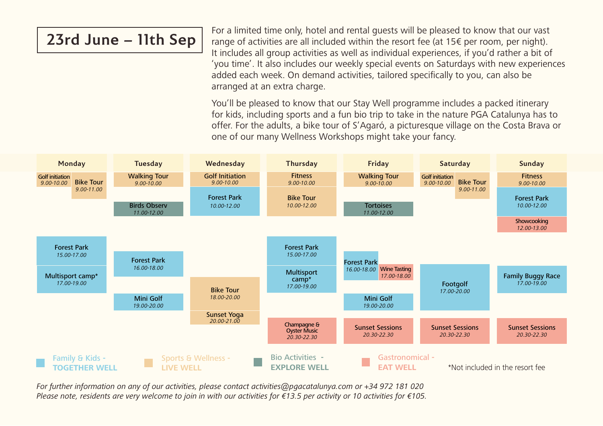# **23rd June – 11th Sep**

For a limited time only, hotel and rental guests will be pleased to know that our vast range of activities are all included within the resort fee (at 15€ per room, per night). It includes all group activities as well as individual experiences, if you'd rather a bit of 'you time'. It also includes our weekly special events on Saturdays with new experiences added each week. On demand activities, tailored specifically to you, can also be arranged at an extra charge.

You'll be pleased to know that our Stay Well programme includes a packed itinerary for kids, including sports and a fun bio trip to take in the nature PGA Catalunya has to offer. For the adults, a bike tour of S'Agaró, a picturesque village on the Costa Brava or one of our many Wellness Workshops might take your fancy.



*For further information on any of our activities, please contact activities@pgacatalunya.com or +34 972 181 020 Please note, residents are very welcome to join in with our activities for €13.5 per activity or 10 activities for €105.*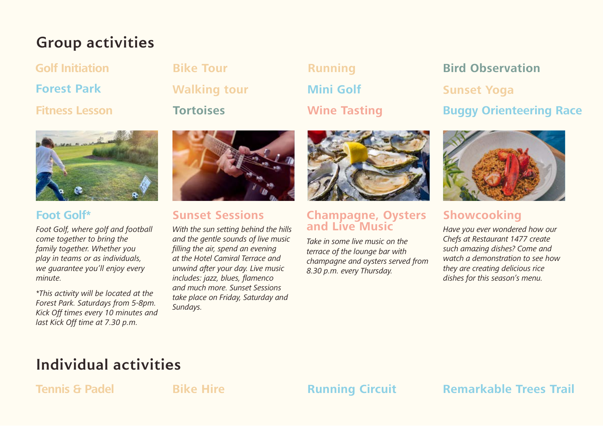# **Group activities**

**Golf Initiation**

**Forest Park**

**Fitness Lesson**







# **Foot Golf\***

*Foot Golf, where golf and football come together to bring the family together. Whether you play in teams or as individuals, we guarantee you'll enjoy every minute.*

*\*This activity will be located at the Forest Park. Saturdays from 5-8pm. Kick Off times every 10 minutes and last Kick Off time at 7.30 p.m.* 



# **Sunset Sessions**

*With the sun setting behind the hills and the gentle sounds of live music filling the air, spend an evening at the Hotel Camiral Terrace and unwind after your day. Live music includes: jazz, blues, flamenco and much more. Sunset Sessions take place on Friday, Saturday and Sundays.*



# **Champagne, Oysters and Live Music Showcooking**

*Take in some live music on the terrace of the lounge bar with champagne and oysters served from 8.30 p.m. every Thursday.*

# **Bike Tour Bird Observation Sunset Yoga Wine Tasting Buggy Orienteering Race**



*Have you ever wondered how our Chefs at Restaurant 1477 create such amazing dishes? Come and watch a demonstration to see how they are creating delicious rice dishes for this season's menu.* 

# **Individual activities**

**Tennis & Padel <b>Bike Hire Running Circuit Remarkable Trees Trail**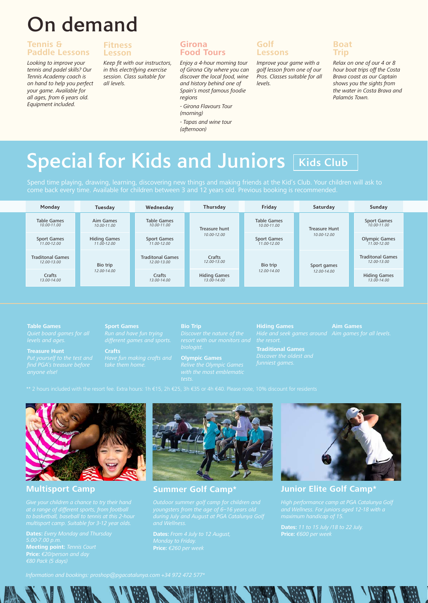# On demand

# **Tennis & Paddle Lessons**

*Looking to improve your tennis and padel skills? Our Tennis Academy coach is on hand to help you perfect your game. Available for all ages, from 6 years old. Equipment included.*

## **Fitness Lesson**

*Keep fit with our instructors, in this electrifying exercise session. Class suitable for all levels.*

# **Girona Food Tours**

*Enjoy a 4-hour morning tour of Girona City where you can discover the local food, wine and history behind one of Spain's most famous foodie regions*

*- Girona Flavours Tour* 

*- Tapas and wine tour (afternoon)*

**Golf Lessons**

*Improve your game with a golf lesson from one of our Pros. Classes suitable for all levels.*

# **Boat Trip**

*Relax on one of our 4 or 8 hour boat trips off the Costa Brava coast as our Captain shows you the sights from the water in Costa Brava and Palamós Town.*

# **Special for Kids and Juniors [Kids Club**

*(morning)*

| Monday                                 | Tuesday                            | Wednesday                              | Thursday                           | Friday                                | Saturday                            | Sunday                                  |
|----------------------------------------|------------------------------------|----------------------------------------|------------------------------------|---------------------------------------|-------------------------------------|-----------------------------------------|
| <b>Table Games</b><br>10.00-11.00      | Aim Games<br>10.00-11.00           | Table Games<br>10.00-11.00             | Treasure hunt<br>10.00-12.00       | <b>Table Games</b><br>10.00-11.00     | <b>Treasure Hunt</b><br>10.00-12.00 | <b>Sport Games</b><br>10.00-11.00       |
| <b>Sport Games</b><br>11.00-12.00      | <b>Hiding Games</b><br>11.00-12.00 | <b>Sport Games</b><br>11.00-12.00      |                                    | <b>Sport Games</b><br>$11.00 - 12.00$ |                                     | <b>Olympic Games</b><br>$11.00 - 12.00$ |
| <b>Traditonal Games</b><br>12.00-13.00 | Bio trip<br>12.00-14.00            | <b>Traditonal Games</b><br>12.00-13.00 | Crafts<br>12.00-13.00              | Bio trip<br>12.00-14.00               | Sport games<br>12.00-14.00          | <b>Traditonal Games</b><br>12.00-13.00  |
| Crafts<br>13.00-14.00                  |                                    | Crafts<br>13.00-14.00                  | <b>Hiding Games</b><br>13.00-14.00 |                                       |                                     | <b>Hiding Games</b><br>13.00-14.00      |

**Table Games**

# **Sport Games**

**Crafts**

**Bio Trip**

**Olympic Games**

**Traditional Games**



**Dates:** *Every Monday and Thursday*  **Meeting point:** *Tennis Court*



*Monday to Friday.* **Price:** *€260 per week* 



**Multisport Camp Summer Golf Camp\* Junior Elite Golf Camp\*** 

**Dates:** *11 to 15 July /18 to 22 July.* **Price:** *€600 per week*